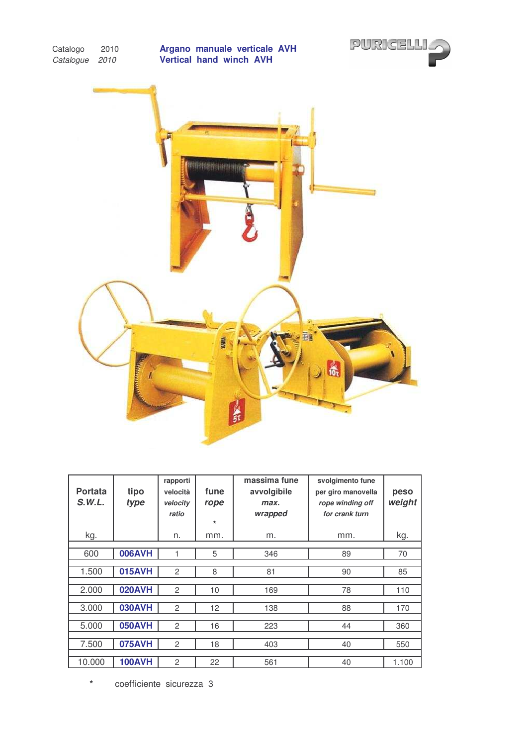

| <b>Portata</b><br>S.W.L. | tipo<br>type  | rapporti<br>velocità<br>velocity<br>ratio | fune<br>rope<br>$\star$ | massima fune<br>avvolgibile<br>max.<br>wrapped | svolgimento fune<br>per giro manovella<br>rope winding off<br>for crank turn | peso<br>weight |
|--------------------------|---------------|-------------------------------------------|-------------------------|------------------------------------------------|------------------------------------------------------------------------------|----------------|
| kg.                      |               | n.                                        | mm.                     | m.                                             | mm.                                                                          | kg.            |
| 600                      | <b>006AVH</b> |                                           | 5                       | 346                                            | 89                                                                           | 70             |
| 1.500                    | <b>015AVH</b> | 2                                         | 8                       | 81                                             | 90                                                                           | 85             |
| 2.000                    | 020AVH        | 2                                         | 10                      | 169                                            | 78                                                                           | 110            |
| 3.000                    | <b>030AVH</b> | $\overline{c}$                            | 12                      | 138                                            | 88                                                                           | 170            |
| 5.000                    | <b>050AVH</b> | 2                                         | 16                      | 223                                            | 44                                                                           | 360            |
| 7.500                    | <b>075AVH</b> | 2                                         | 18                      | 403                                            | 40                                                                           | 550            |
| 10.000                   | <b>100AVH</b> | 2                                         | 22                      | 561                                            | 40                                                                           | 1.100          |

**\*** coefficiente sicurezza 3